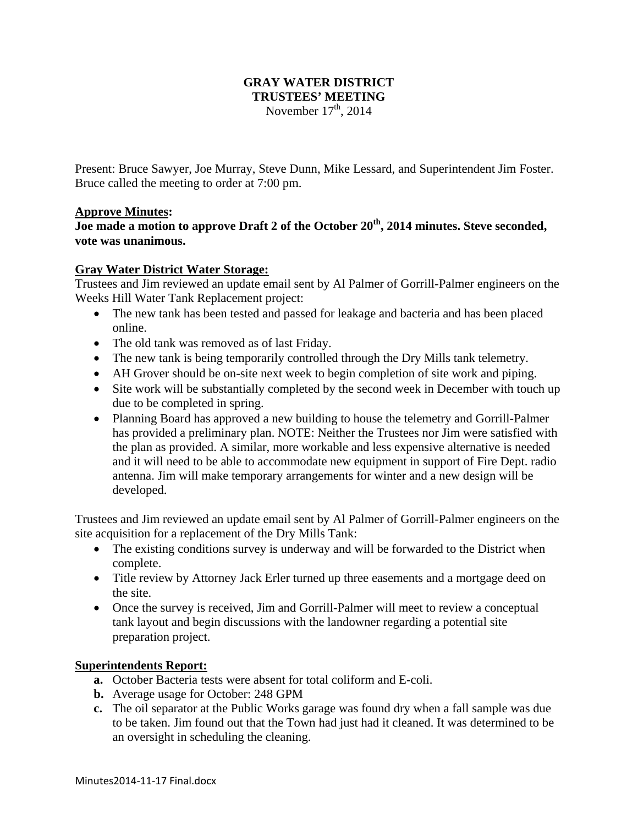## **GRAY WATER DISTRICT TRUSTEES' MEETING**  November  $17<sup>th</sup>$ , 2014

Present: Bruce Sawyer, Joe Murray, Steve Dunn, Mike Lessard, and Superintendent Jim Foster. Bruce called the meeting to order at 7:00 pm.

## **Approve Minutes:**

**Joe made a motion to approve Draft 2 of the October 20th, 2014 minutes. Steve seconded, vote was unanimous.** 

## **Gray Water District Water Storage:**

Trustees and Jim reviewed an update email sent by Al Palmer of Gorrill-Palmer engineers on the Weeks Hill Water Tank Replacement project:

- The new tank has been tested and passed for leakage and bacteria and has been placed online.
- The old tank was removed as of last Friday.
- The new tank is being temporarily controlled through the Dry Mills tank telemetry.
- AH Grover should be on-site next week to begin completion of site work and piping.
- Site work will be substantially completed by the second week in December with touch up due to be completed in spring.
- Planning Board has approved a new building to house the telemetry and Gorrill-Palmer has provided a preliminary plan. NOTE: Neither the Trustees nor Jim were satisfied with the plan as provided. A similar, more workable and less expensive alternative is needed and it will need to be able to accommodate new equipment in support of Fire Dept. radio antenna. Jim will make temporary arrangements for winter and a new design will be developed.

Trustees and Jim reviewed an update email sent by Al Palmer of Gorrill-Palmer engineers on the site acquisition for a replacement of the Dry Mills Tank:

- The existing conditions survey is underway and will be forwarded to the District when complete.
- Title review by Attorney Jack Erler turned up three easements and a mortgage deed on the site.
- Once the survey is received, Jim and Gorrill-Palmer will meet to review a conceptual tank layout and begin discussions with the landowner regarding a potential site preparation project.

# **Superintendents Report:**

- **a.** October Bacteria tests were absent for total coliform and E-coli.
- **b.** Average usage for October: 248 GPM
- **c.** The oil separator at the Public Works garage was found dry when a fall sample was due to be taken. Jim found out that the Town had just had it cleaned. It was determined to be an oversight in scheduling the cleaning.